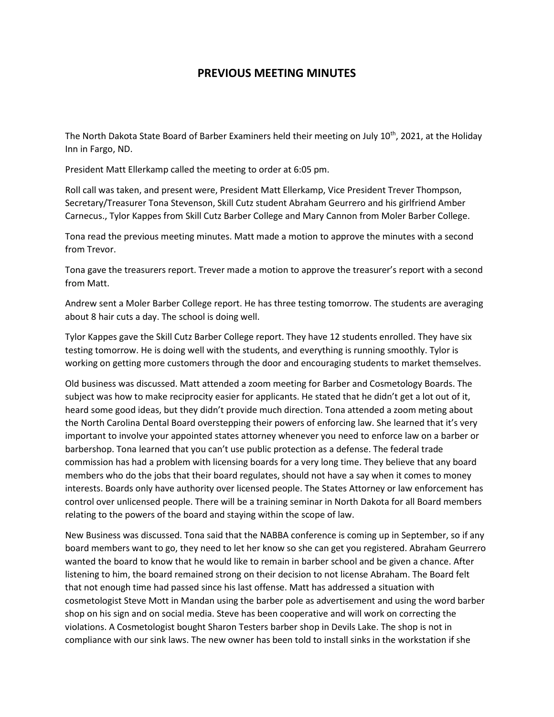## **PREVIOUS MEETING MINUTES**

The North Dakota State Board of Barber Examiners held their meeting on July 10<sup>th</sup>, 2021, at the Holiday Inn in Fargo, ND.

President Matt Ellerkamp called the meeting to order at 6:05 pm.

Roll call was taken, and present were, President Matt Ellerkamp, Vice President Trever Thompson, Secretary/Treasurer Tona Stevenson, Skill Cutz student Abraham Geurrero and his girlfriend Amber Carnecus., Tylor Kappes from Skill Cutz Barber College and Mary Cannon from Moler Barber College.

Tona read the previous meeting minutes. Matt made a motion to approve the minutes with a second from Trevor.

Tona gave the treasurers report. Trever made a motion to approve the treasurer's report with a second from Matt.

Andrew sent a Moler Barber College report. He has three testing tomorrow. The students are averaging about 8 hair cuts a day. The school is doing well.

Tylor Kappes gave the Skill Cutz Barber College report. They have 12 students enrolled. They have six testing tomorrow. He is doing well with the students, and everything is running smoothly. Tylor is working on getting more customers through the door and encouraging students to market themselves.

Old business was discussed. Matt attended a zoom meeting for Barber and Cosmetology Boards. The subject was how to make reciprocity easier for applicants. He stated that he didn't get a lot out of it, heard some good ideas, but they didn't provide much direction. Tona attended a zoom meting about the North Carolina Dental Board overstepping their powers of enforcing law. She learned that it's very important to involve your appointed states attorney whenever you need to enforce law on a barber or barbershop. Tona learned that you can't use public protection as a defense. The federal trade commission has had a problem with licensing boards for a very long time. They believe that any board members who do the jobs that their board regulates, should not have a say when it comes to money interests. Boards only have authority over licensed people. The States Attorney or law enforcement has control over unlicensed people. There will be a training seminar in North Dakota for all Board members relating to the powers of the board and staying within the scope of law.

New Business was discussed. Tona said that the NABBA conference is coming up in September, so if any board members want to go, they need to let her know so she can get you registered. Abraham Geurrero wanted the board to know that he would like to remain in barber school and be given a chance. After listening to him, the board remained strong on their decision to not license Abraham. The Board felt that not enough time had passed since his last offense. Matt has addressed a situation with cosmetologist Steve Mott in Mandan using the barber pole as advertisement and using the word barber shop on his sign and on social media. Steve has been cooperative and will work on correcting the violations. A Cosmetologist bought Sharon Testers barber shop in Devils Lake. The shop is not in compliance with our sink laws. The new owner has been told to install sinks in the workstation if she